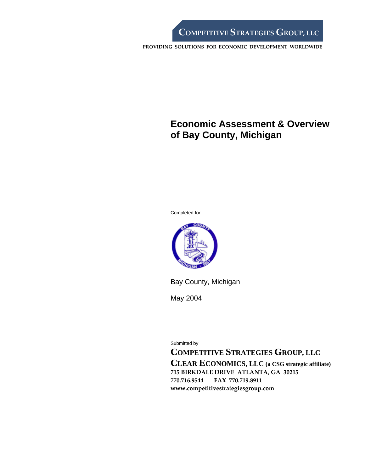# **Economic Assessment & Overview of Bay County, Michigan**

Completed for



Bay County, Michigan

May 2004

Submitted by

**COMPETITIVE STRATEGIES GROUP, LLC** 

**CLEAR ECONOMICS, LLC (a CSG strategic affiliate) 715 BIRKDALE DRIVE ATLANTA, GA 30215 770.716.9544 FAX 770.719.8911 www.competitivestrategiesgroup.com**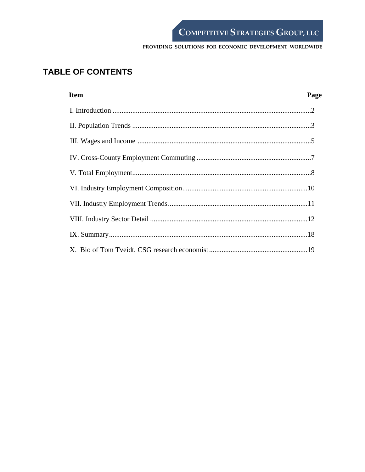# **TABLE OF CONTENTS**

| <b>Item</b> | Page |
|-------------|------|
|             |      |
|             |      |
|             |      |
|             |      |
|             |      |
|             |      |
|             |      |
|             |      |
|             |      |
|             |      |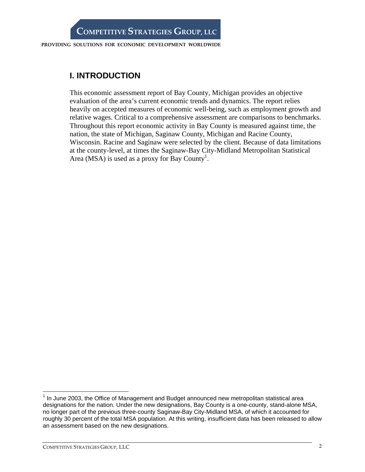# **I. INTRODUCTION**

This economic assessment report of Bay County, Michigan provides an objective evaluation of the area's current economic trends and dynamics. The report relies heavily on accepted measures of economic well-being, such as employment growth and relative wages. Critical to a comprehensive assessment are comparisons to benchmarks. Throughout this report economic activity in Bay County is measured against time, the nation, the state of Michigan, Saginaw County, Michigan and Racine County, Wisconsin. Racine and Saginaw were selected by the client. Because of data limitations at the county-level, at times the Saginaw-Bay City-Midland Metropolitan Statistical Area (MSA) is used as a proxy for Bay County<sup>1</sup>.

 $\overline{a}$ 

 $1$  In June 2003, the Office of Management and Budget announced new metropolitan statistical area designations for the nation. Under the new designations, Bay County is a one-county, stand-alone MSA, no longer part of the previous three-county Saginaw-Bay City-Midland MSA, of which it accounted for roughly 30 percent of the total MSA population. At this writing, insufficient data has been released to allow an assessment based on the new designations.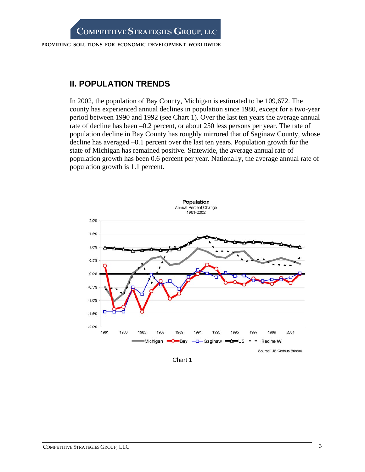## **II. POPULATION TRENDS**

In 2002, the population of Bay County, Michigan is estimated to be 109,672. The county has experienced annual declines in population since 1980, except for a two-year period between 1990 and 1992 (see Chart 1). Over the last ten years the average annual rate of decline has been –0.2 percent, or about 250 less persons per year. The rate of population decline in Bay County has roughly mirrored that of Saginaw County, whose decline has averaged –0.1 percent over the last ten years. Population growth for the state of Michigan has remained positive. Statewide, the average annual rate of population growth has been 0.6 percent per year. Nationally, the average annual rate of population growth is 1.1 percent.



Chart 1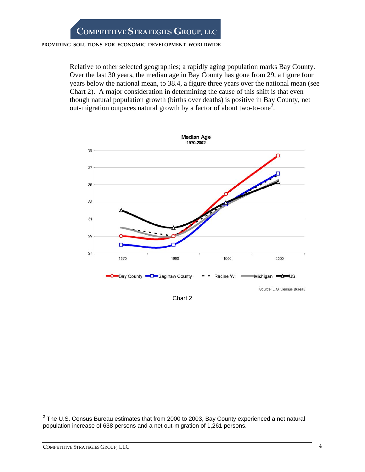Relative to other selected geographies; a rapidly aging population marks Bay County. Over the last 30 years, the median age in Bay County has gone from 29, a figure four years below the national mean, to 38.4, a figure three years over the national mean (see Chart 2). A major consideration in determining the cause of this shift is that even though natural population growth (births over deaths) is positive in Bay County, net out-migration outpaces natural growth by a factor of about two-to-one<sup>2</sup>.



Chart 2

<sup>————————————————————&</sup>lt;br><sup>2</sup> The U.S. Census Bureau estimates that from 2000 to 2003, Bay County experienced a net natural population increase of 638 persons and a net out-migration of 1,261 persons.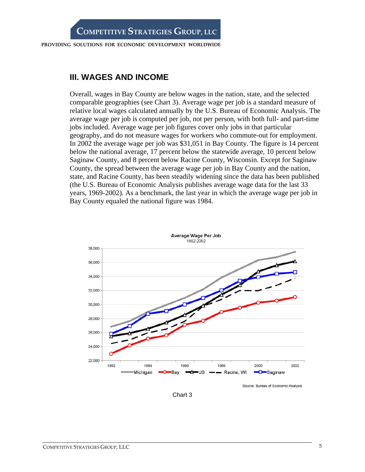## **III. WAGES AND INCOME**

Overall, wages in Bay County are below wages in the nation, state, and the selected comparable geographies (see Chart 3). Average wage per job is a standard measure of relative local wages calculated annually by the U.S. Bureau of Economic Analysis. The average wage per job is computed per job, not per person, with both full- and part-time jobs included. Average wage per job figures cover only jobs in that particular geography, and do not measure wages for workers who commute-out for employment. In 2002 the average wage per job was \$31,051 in Bay County. The figure is 14 percent below the national average, 17 percent below the statewide average, 10 percent below Saginaw County, and 8 percent below Racine County, Wisconsin. Except for Saginaw County, the spread between the average wage per job in Bay County and the nation, state, and Racine County, has been steadily widening since the data has been published (the U.S. Bureau of Economic Analysis publishes average wage data for the last 33 years, 1969-2002). As a benchmark, the last year in which the average wage per job in Bay County equaled the national figure was 1984.



Source: Bureau of Economic Analysis

Chart 3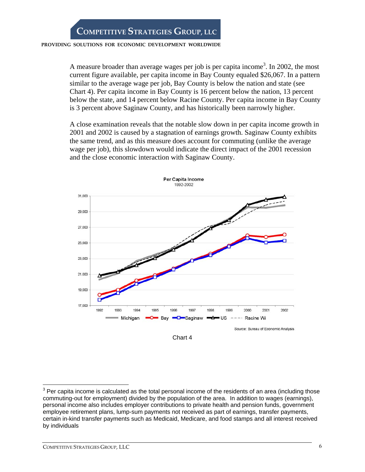#### **PROVIDING SOLUTIONS FOR ECONOMIC DEVELOPMENT WORLDWIDE**

A measure broader than average wages per job is per capita income<sup>3</sup>. In 2002, the most current figure available, per capita income in Bay County equaled \$26,067. In a pattern similar to the average wage per job, Bay County is below the nation and state (see Chart 4). Per capita income in Bay County is 16 percent below the nation, 13 percent below the state, and 14 percent below Racine County. Per capita income in Bay County is 3 percent above Saginaw County, and has historically been narrowly higher.

A close examination reveals that the notable slow down in per capita income growth in 2001 and 2002 is caused by a stagnation of earnings growth. Saginaw County exhibits the same trend, and as this measure does account for commuting (unlike the average wage per job), this slowdown would indicate the direct impact of the 2001 recession and the close economic interaction with Saginaw County.



Chart 4

 $\overline{a}$ 

 $3$  Per capita income is calculated as the total personal income of the residents of an area (including those commuting-out for employment) divided by the population of the area. In addition to wages (earnings), personal income also includes employer contributions to private health and pension funds, government employee retirement plans, lump-sum payments not received as part of earnings, transfer payments, certain in-kind transfer payments such as Medicaid, Medicare, and food stamps and all interest received by individuals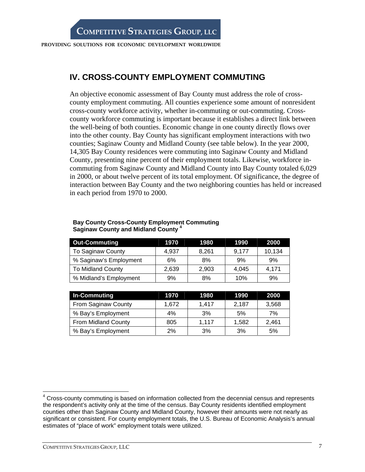## **IV. CROSS-COUNTY EMPLOYMENT COMMUTING**

An objective economic assessment of Bay County must address the role of crosscounty employment commuting. All counties experience some amount of nonresident cross-county workforce activity, whether in-commuting or out-commuting. Crosscounty workforce commuting is important because it establishes a direct link between the well-being of both counties. Economic change in one county directly flows over into the other county. Bay County has significant employment interactions with two counties; Saginaw County and Midland County (see table below). In the year 2000, 14,305 Bay County residences were commuting into Saginaw County and Midland County, presenting nine percent of their employment totals. Likewise, workforce incommuting from Saginaw County and Midland County into Bay County totaled 6,029 in 2000, or about twelve percent of its total employment. Of significance, the degree of interaction between Bay County and the two neighboring counties has held or increased in each period from 1970 to 2000.

| <b>Out-Commuting</b>     | 1970  | 1980  | 1990  | 2000   |
|--------------------------|-------|-------|-------|--------|
| To Saginaw County        | 4.937 | 8,261 | 9.177 | 10,134 |
| % Saginaw's Employment   | 6%    | 8%    | 9%    | 9%     |
| <b>To Midland County</b> | 2,639 | 2,903 | 4.045 | 4.171  |
| % Midland's Employment   | 9%    | 8%    | 10%   | 9%     |

### **Bay County Cross-County Employment Commuting Saginaw County and Midland County 4**

| In-Commuting        | 1970  | 1980  | 1990  | 2000  |
|---------------------|-------|-------|-------|-------|
| From Saginaw County | 1.672 | 1.417 | 2,187 | 3,568 |
| % Bay's Employment  | 4%    | 3%    | 5%    | 7%    |
| From Midland County | 805   | 1,117 | 1,582 | 2,461 |
| % Bay's Employment  | 2%    | 3%    | 3%    | 5%    |

<sup>————————————————————&</sup>lt;br><sup>4</sup> Cross-county commuting is based on information collected from the decennial census and represents the respondent's activity only at the time of the census. Bay County residents identified employment counties other than Saginaw County and Midland County, however their amounts were not nearly as significant or consistent. For county employment totals, the U.S. Bureau of Economic Analysis's annual estimates of "place of work" employment totals were utilized.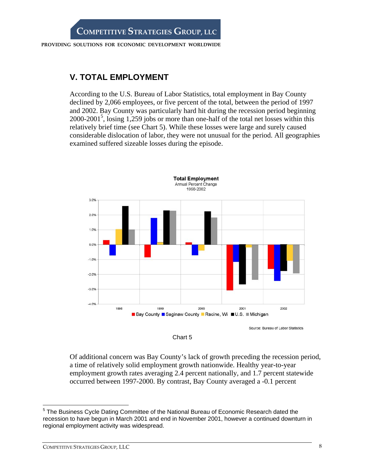# **V. TOTAL EMPLOYMENT**

According to the U.S. Bureau of Labor Statistics, total employment in Bay County declined by 2,066 employees, or five percent of the total, between the period of 1997 and 2002. Bay County was particularly hard hit during the recession period beginning  $2000-2001<sup>5</sup>$ , losing 1,259 jobs or more than one-half of the total net losses within this relatively brief time (see Chart 5). While these losses were large and surely caused considerable dislocation of labor, they were not unusual for the period. All geographies examined suffered sizeable losses during the episode.





Of additional concern was Bay County's lack of growth preceding the recession period, a time of relatively solid employment growth nationwide. Healthy year-to-year employment growth rates averaging 2.4 percent nationally, and 1.7 percent statewide occurred between 1997-2000. By contrast, Bay County averaged a -0.1 percent

 $\overline{a}$ <sup>5</sup> The Business Cycle Dating Committee of the National Bureau of Economic Research dated the recession to have begun in March 2001 and end in November 2001, however a continued downturn in regional employment activity was widespread.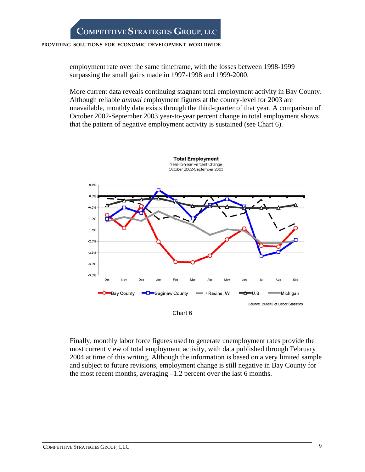#### **PROVIDING SOLUTIONS FOR ECONOMIC DEVELOPMENT WORLDWIDE**

employment rate over the same timeframe, with the losses between 1998-1999 surpassing the small gains made in 1997-1998 and 1999-2000.

More current data reveals continuing stagnant total employment activity in Bay County. Although reliable *annual* employment figures at the county-level for 2003 are unavailable, monthly data exists through the third-quarter of that year. A comparison of October 2002-September 2003 year-to-year percent change in total employment shows that the pattern of negative employment activity is sustained (see Chart 6).



Finally, monthly labor force figures used to generate unemployment rates provide the most current view of total employment activity, with data published through February 2004 at time of this writing. Although the information is based on a very limited sample and subject to future revisions, employment change is still negative in Bay County for the most recent months, averaging  $-1.2$  percent over the last 6 months.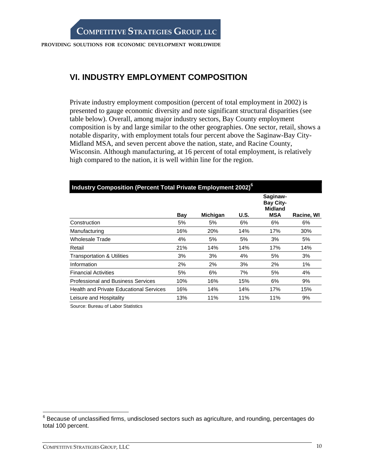## **VI. INDUSTRY EMPLOYMENT COMPOSITION**

Private industry employment composition (percent of total employment in 2002) is presented to gauge economic diversity and note significant structural disparities (see table below). Overall, among major industry sectors, Bay County employment composition is by and large similar to the other geographies. One sector, retail, shows a notable disparity, with employment totals four percent above the Saginaw-Bay City-Midland MSA, and seven percent above the nation, state, and Racine County, Wisconsin. Although manufacturing, at 16 percent of total employment, is relatively high compared to the nation, it is well within line for the region.

| Industry Composition (Percent Total Private Employment 2002) <sup>6</sup> |     |                 |      |                                                              |            |  |  |
|---------------------------------------------------------------------------|-----|-----------------|------|--------------------------------------------------------------|------------|--|--|
|                                                                           | Bay | <b>Michigan</b> | U.S. | Saginaw-<br><b>Bay City-</b><br><b>Midland</b><br><b>MSA</b> | Racine, WI |  |  |
| Construction                                                              | 5%  | 5%              | 6%   | 6%                                                           | 6%         |  |  |
| Manufacturing                                                             | 16% | 20%             | 14%  | 17%                                                          | 30%        |  |  |
| Wholesale Trade                                                           | 4%  | 5%              | 5%   | 3%                                                           | 5%         |  |  |
| Retail                                                                    | 21% | 14%             | 14%  | 17%                                                          | 14%        |  |  |
| <b>Transportation &amp; Utilities</b>                                     | 3%  | 3%              | 4%   | 5%                                                           | 3%         |  |  |
| Information                                                               | 2%  | 2%              | 3%   | 2%                                                           | 1%         |  |  |
| <b>Financial Activities</b>                                               | 5%  | 6%              | 7%   | 5%                                                           | 4%         |  |  |
| Professional and Business Services                                        | 10% | 16%             | 15%  | 6%                                                           | 9%         |  |  |
| <b>Health and Private Educational Services</b>                            | 16% | 14%             | 14%  | 17%                                                          | 15%        |  |  |
| Leisure and Hospitality                                                   | 13% | 11%             | 11%  | 11%                                                          | 9%         |  |  |

Source: Bureau of Labor Statistics

 6 Because of unclassified firms, undisclosed sectors such as agriculture, and rounding, percentages do total 100 percent.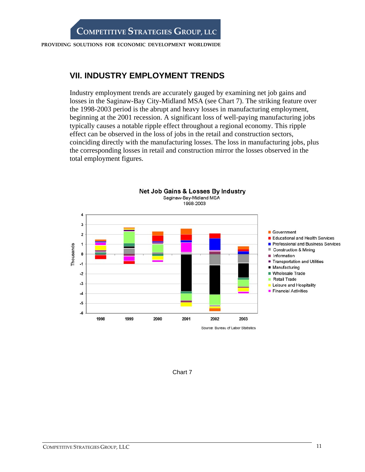## **VII. INDUSTRY EMPLOYMENT TRENDS**

Industry employment trends are accurately gauged by examining net job gains and losses in the Saginaw-Bay City-Midland MSA (see Chart 7). The striking feature over the 1998-2003 period is the abrupt and heavy losses in manufacturing employment, beginning at the 2001 recession. A significant loss of well-paying manufacturing jobs typically causes a notable ripple effect throughout a regional economy. This ripple effect can be observed in the loss of jobs in the retail and construction sectors, coinciding directly with the manufacturing losses. The loss in manufacturing jobs, plus the corresponding losses in retail and construction mirror the losses observed in the total employment figures.



Chart 7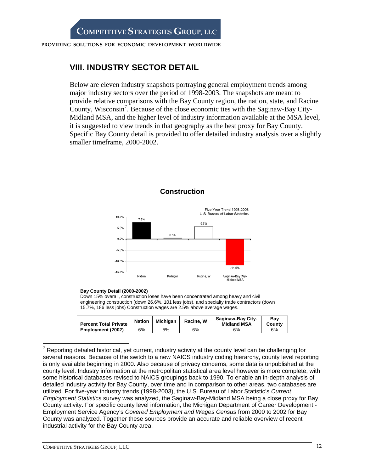# **VIII. INDUSTRY SECTOR DETAIL**

Below are eleven industry snapshots portraying general employment trends among major industry sectors over the period of 1998-2003. The snapshots are meant to provide relative comparisons with the Bay County region, the nation, state, and Racine County, Wisconsin<sup>7</sup>. Because of the close economic ties with the Saginaw-Bay City-Midland MSA, and the higher level of industry information available at the MSA level, it is suggested to view trends in that geography as the best proxy for Bay County. Specific Bay County detail is provided to offer detailed industry analysis over a slightly smaller timeframe, 2000-2002.



### **Construction**

#### **Bay County Detail (2000-2002)**

Down 15% overall, construction loses have been concentrated among heavy and civil engineering construction (down 26.6%, 101 less jobs), and specialty trade contractors (down 15.7%, 186 less jobs) Construction wages are 2.5% above average wages.

| <b>Percent Total Private</b> | <b>Nation</b> | Michigan | Racine, W | <b>Saginaw-Bay City-</b><br><b>Midland MSA</b> | Bav<br>County |
|------------------------------|---------------|----------|-----------|------------------------------------------------|---------------|
| Employment (2002)            | 6%            | 5%       | 6%        | 6%                                             | 6%            |

 $<sup>7</sup>$  Reporting detailed historical, yet current, industry activity at the county level can be challenging for</sup> several reasons. Because of the switch to a new NAICS industry coding hierarchy, county level reporting is only available beginning in 2000. Also because of privacy concerns, some data is unpublished at the county level. Industry information at the metropolitan statistical area level however is more complete, with some historical databases revised to NAICS groupings back to 1990. To enable an in-depth analysis of detailed industry activity for Bay County, over time and in comparison to other areas, two databases are utilized. For five-year industry trends (1998-2003), the U.S. Bureau of Labor Statistic's *Current Employment Statistics* survey was analyzed, the Saginaw-Bay-Midland MSA being a close proxy for Bay County activity. For specific county level information, the Michigan Department of Career Development - Employment Service Agency's *Covered Employment and Wages Census* from 2000 to 2002 for Bay County was analyzed. Together these sources provide an accurate and reliable overview of recent industrial activity for the Bay County area.

 $\overline{a}$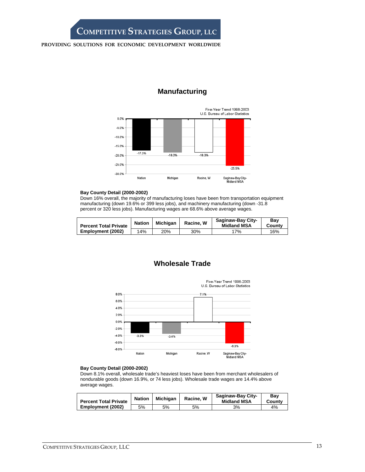#### **PROVIDING SOLUTIONS FOR ECONOMIC DEVELOPMENT WORLDWIDE**



### **Manufacturing**

#### **Bay County Detail (2000-2002)**

Down 16% overall, the majority of manufacturing loses have been from transportation equipment manufacturing (down 19.6% or 399 less jobs), and machinery manufacturing (down -31.8 percent or 320 less jobs). Manufacturing wages are 68.6% above average wages.

| <b>Percent Total Private</b> | <b>Nation</b> | <b>Michigan</b> | Racine, W | <b>Saginaw-Bay City-</b><br><b>Midland MSA</b> | Bav<br>County |
|------------------------------|---------------|-----------------|-----------|------------------------------------------------|---------------|
| Employment (2002)            | 14%           | 20%             | 30%       | $17\%$                                         | 16%           |

## **Wholesale Trade**

Five-Year Trend 1998-2003

U.S. Bureau of Labor Statistics 8.0% 7.1% 6.0% 4.0% 2.0% 0.0%  $-2.0%$  $-4.0%$  $-3.3%$  $-3.4%$  $-6.0%$  $-6.3%$  $-8.0%$ Saginaw-Bay City-<br>Midland MSA Nation Michigan Racine, W

#### **Bay County Detail (2000-2002)**

Down 8.1% overall, wholesale trade's heaviest loses have been from merchant wholesalers of nondurable goods (down 16.9%, or 74 less jobs). Wholesale trade wages are 14.4% above average wages.

| <b>Percent Total Private</b> | <b>Nation</b> | <b>Michigan</b> | Racine, W | <b>Saginaw-Bay City-</b><br><b>Midland MSA</b> | Bav<br>County |
|------------------------------|---------------|-----------------|-----------|------------------------------------------------|---------------|
| Employment (2002)            | 5%            | 5%              | 5%        | 3%                                             | 4%            |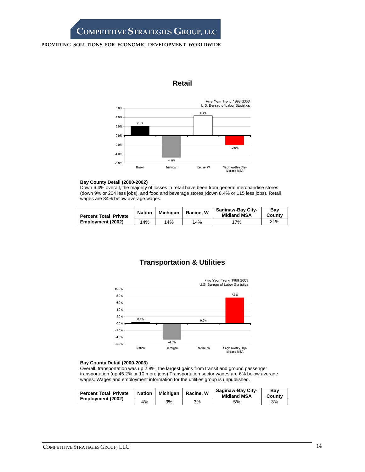#### **PROVIDING SOLUTIONS FOR ECONOMIC DEVELOPMENT WORLDWIDE**





#### **Bay County Detail (2000-2002)**

Down 6.4% overall, the majority of losses in retail have been from general merchandise stores (down 9% or 204 less jobs), and food and beverage stores (down 8.4% or 115 less jobs). Retail wages are 34% below average wages.

| <b>Percent Total Private</b> | <b>Nation</b> | <b>Michigan</b> | Racine, W | <b>Saginaw-Bay City-</b><br><b>Midland MSA</b> | Bav<br>County |
|------------------------------|---------------|-----------------|-----------|------------------------------------------------|---------------|
| Employment (2002)            | 14%           | 14%             | 14%       | 17%                                            | 21%           |

## **Transportation & Utilities**



#### **Bay County Detail (2000-2003)**

Overall, transportation was up 2.8%, the largest gains from transit and ground passenger transportation (up 45.2% or 10 more jobs) Transportation sector wages are 6% below average wages. Wages and employment information for the utilities group is unpublished.

| <b>Percent Total Private</b><br>Employment (2002) | <b>Nation</b> | Michigan | Racine, W | Saginaw-Bay City-<br><b>Midland MSA</b> | Bav<br>County |
|---------------------------------------------------|---------------|----------|-----------|-----------------------------------------|---------------|
|                                                   | 4%            | 3%       | 3%        | 5%                                      | 3%            |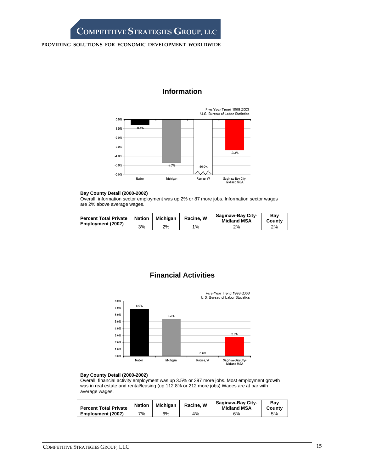#### **PROVIDING SOLUTIONS FOR ECONOMIC DEVELOPMENT WORLDWIDE**

## **Information**



#### **Bay County Detail (2000-2002)**

Overall, information sector employment was up 2% or 87 more jobs. Information sector wages are 2% above average wages.

| Percent Total Private   Nation<br>Employment (2002) |    | Michigan | Racine, W | Saginaw-Bay City-<br><b>Midland MSA</b> | Bav<br>County |
|-----------------------------------------------------|----|----------|-----------|-----------------------------------------|---------------|
|                                                     | 3% | 2%       | 1%        | 2%                                      | 2%            |

## **Financial Activities**



#### **Bay County Detail (2000-2002)**

Overall, financial activity employment was up 3.5% or 397 more jobs. Most employment growth was in real estate and rental/leasing (up 112.8% or 212 more jobs) Wages are at par with average wages.

| <b>Percent Total Private</b> | <b>Nation</b> | <b>Michigan</b> | Racine, W | <b>Saginaw-Bay City-</b><br><b>Midland MSA</b> | Bav<br>Countv |
|------------------------------|---------------|-----------------|-----------|------------------------------------------------|---------------|
| Employment (2002)            | 7%            | 6%              | 4%        | 6%                                             | 5%            |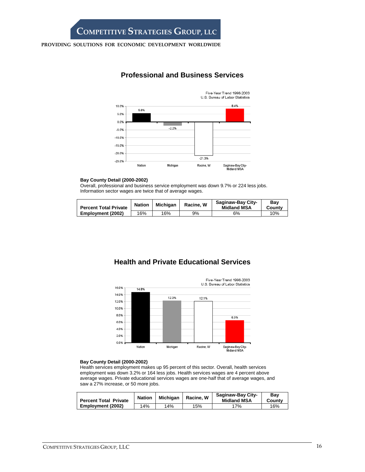### **Professional and Business Services**



#### **Bay County Detail (2000-2002)**

Overall, professional and business service employment was down 9.7% or 224 less jobs. Information sector wages are twice that of average wages.

| <b>Percent Total Private</b> | <b>Nation</b> | Michigan | Racine, W | <b>Saginaw-Bay City-</b><br><b>Midland MSA</b> | Bav<br>County |
|------------------------------|---------------|----------|-----------|------------------------------------------------|---------------|
| Employment (2002)            | 16%           | 16%      | 9%        | 6%                                             | 10%           |

## **Health and Private Educational Services**



#### **Bay County Detail (2000-2002)**

Health services employment makes up 95 percent of this sector. Overall, health services employment was down 3.2% or 164 less jobs. Health services wages are 4 percent above average wages. Private educational services wages are one-half that of average wages, and saw a 27% increase, or 50 more jobs.

| <b>Percent Total Private</b> | <b>Nation</b> | <b>Michigan</b> | Racine, W | <b>Saginaw-Bay City-</b><br><b>Midland MSA</b> | Bav<br>County |
|------------------------------|---------------|-----------------|-----------|------------------------------------------------|---------------|
| Employment (2002)            | 14%           | 14%             | 15%       | 7%                                             | 16%           |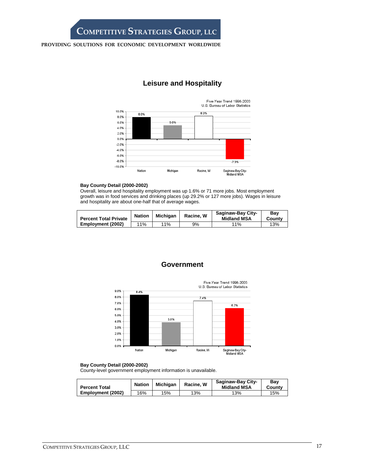#### **PROVIDING SOLUTIONS FOR ECONOMIC DEVELOPMENT WORLDWIDE**

## **Leisure and Hospitality**



#### **Bay County Detail (2000-2002)**

Overall, leisure and hospitality employment was up 1.6% or 71 more jobs. Most employment growth was in food services and drinking places (up 29.2% or 127 more jobs). Wages in leisure and hospitality are about one-half that of average wages.

| <b>Percent Total Private</b> | <b>Nation</b> | <b>Michigan</b> | Racine, W | Saginaw-Bay City-<br><b>Midland MSA</b> | Bav<br>County |
|------------------------------|---------------|-----------------|-----------|-----------------------------------------|---------------|
| Employment (2002)            | 11%           | 11%             | 9%        | 11%                                     | 13%           |

### **Government**



#### **Bay County Detail (2000-2002)**

County-level government employment information is unavailable.

| <b>Percent Total</b> | <b>Nation</b> | <b>Michigan</b> | Racine, W | <b>Saginaw-Bay City-</b><br><b>Midland MSA</b> | Bav<br>County |
|----------------------|---------------|-----------------|-----------|------------------------------------------------|---------------|
| Employment (2002)    | 16%           | 15%             | 13%       | 13%                                            | 15%           |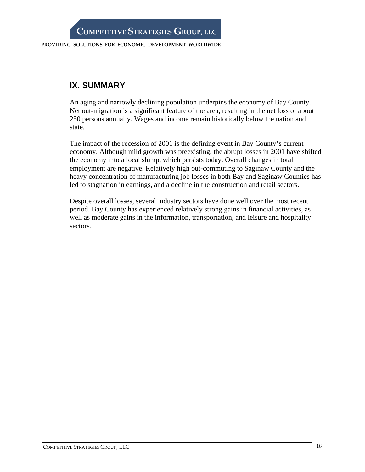# **IX. SUMMARY**

An aging and narrowly declining population underpins the economy of Bay County. Net out-migration is a significant feature of the area, resulting in the net loss of about 250 persons annually. Wages and income remain historically below the nation and state.

The impact of the recession of 2001 is the defining event in Bay County's current economy. Although mild growth was preexisting, the abrupt losses in 2001 have shifted the economy into a local slump, which persists today. Overall changes in total employment are negative. Relatively high out-commuting to Saginaw County and the heavy concentration of manufacturing job losses in both Bay and Saginaw Counties has led to stagnation in earnings, and a decline in the construction and retail sectors.

Despite overall losses, several industry sectors have done well over the most recent period. Bay County has experienced relatively strong gains in financial activities, as well as moderate gains in the information, transportation, and leisure and hospitality sectors.